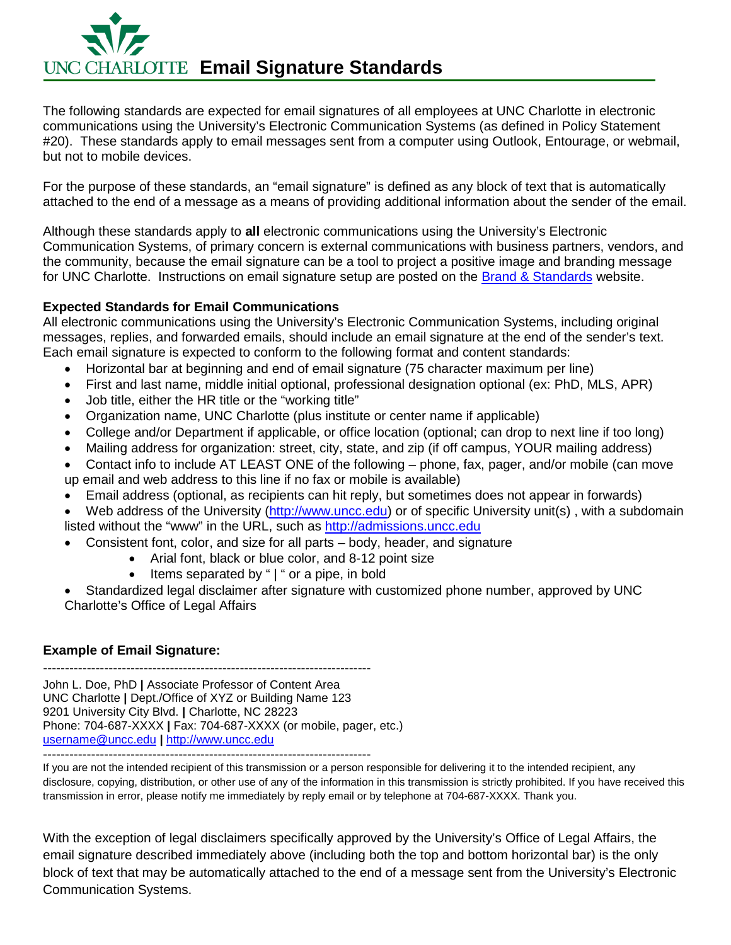

The following standards are expected for email signatures of all employees at UNC Charlotte in electronic communications using the University's Electronic Communication Systems (as defined in Policy Statement #20). These standards apply to email messages sent from a computer using Outlook, Entourage, or webmail, but not to mobile devices.

For the purpose of these standards, an "email signature" is defined as any block of text that is automatically attached to the end of a message as a means of providing additional information about the sender of the email.

Although these standards apply to **all** electronic communications using the University's Electronic Communication Systems, of primary concern is external communications with business partners, vendors, and the community, because the email signature can be a tool to project a positive image and branding message for UNC Charlotte. Instructions on email signature setup are posted on the [Brand & Standards](http://brand.uncc.edu/standards/electronic) website.

# **Expected Standards for Email Communications**

All electronic communications using the University's Electronic Communication Systems, including original messages, replies, and forwarded emails, should include an email signature at the end of the sender's text. Each email signature is expected to conform to the following format and content standards:

- Horizontal bar at beginning and end of email signature (75 character maximum per line)
- First and last name, middle initial optional, professional designation optional (ex: PhD, MLS, APR)
- Job title, either the HR title or the "working title"
- Organization name, UNC Charlotte (plus institute or center name if applicable)
- College and/or Department if applicable, or office location (optional; can drop to next line if too long)
- Mailing address for organization: street, city, state, and zip (if off campus, YOUR mailing address)
- Contact info to include AT LEAST ONE of the following phone, fax, pager, and/or mobile (can move up email and web address to this line if no fax or mobile is available)
- Email address (optional, as recipients can hit reply, but sometimes does not appear in forwards)

Web address of the University [\(http://www.uncc.edu\)](http://www.uncc.edu/) or of specific University unit(s), with a subdomain listed without the "www" in the URL, such as [http://admissions.uncc.edu](http://admissions.uncc.edu/)

- Consistent font, color, and size for all parts body, header, and signature
	- Arial font, black or blue color, and 8-12 point size
	- Items separated by " | " or a pipe, in bold
- Standardized legal disclaimer after signature with customized phone number, approved by UNC Charlotte's Office of Legal Affairs

## **Example of Email Signature:**

--------------------------------------------------------------------------- John L. Doe, PhD **|** Associate Professor of Content Area UNC Charlotte **|** Dept./Office of XYZ or Building Name 123 9201 University City Blvd. **|** Charlotte, NC 28223 Phone: 704-687-XXXX **|** Fax: 704-687-XXXX (or mobile, pager, etc.) [username@uncc.edu](mailto:username@uncc.edu) **|** [http://www.uncc.edu](http://www.uncc.edu/)

---------------------------------------------------------------------------

If you are not the intended recipient of this transmission or a person responsible for delivering it to the intended recipient, any disclosure, copying, distribution, or other use of any of the information in this transmission is strictly prohibited. If you have received this transmission in error, please notify me immediately by reply email or by telephone at 704-687-XXXX. Thank you.

With the exception of legal disclaimers specifically approved by the University's Office of Legal Affairs, the email signature described immediately above (including both the top and bottom horizontal bar) is the only block of text that may be automatically attached to the end of a message sent from the University's Electronic Communication Systems.